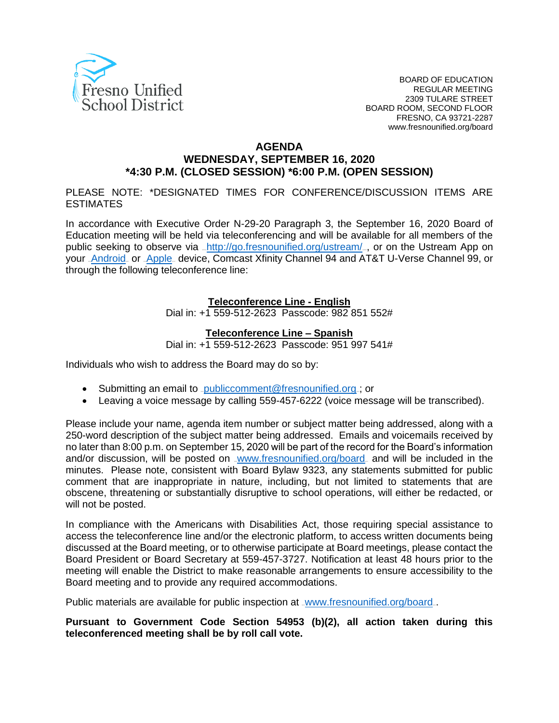

#### **AGENDA**

## **WEDNESDAY, SEPTEMBER 16, 2020 \*4:30 P.M. (CLOSED SESSION) \*6:00 P.M. (OPEN SESSION)**

PLEASE NOTE: \*DESIGNATED TIMES FOR CONFERENCE/DISCUSSION ITEMS ARE **ESTIMATES** 

In accordance with Executive Order N-29-20 Paragraph 3, the September 16, 2020 Board of Education meeting will be held via teleconferencing and will be available for all members of the public seeking to observe via <http://go.fresnounified.org/ustream/><sub>-</sub>, or on the Ustream App on your [Android](https://play.google.com/store/apps/details?id=tv.ustream.ustream&hl=en_US) or [Apple](https://itunes.apple.com/us/app/ustream/id301520250?mt=8) device, Comcast Xfinity Channel 94 and AT&T U-Verse Channel 99, or through the following teleconference line:

#### **Teleconference Line - English**

Dial in: +1 559-512-2623 Passcode: 982 851 552#

#### **Teleconference Line – Spanish**

Dial in: +1 559-512-2623 Passcode: 951 997 541#

Individuals who wish to address the Board may do so by:

- Submitting an email to [publiccomment@fresnounified.org](mailto:publiccomment@fresnounified.org).; or
- Leaving a voice message by calling 559-457-6222 (voice message will be transcribed).

Please include your name, agenda item number or subject matter being addressed, along with a 250-word description of the subject matter being addressed. Emails and voicemails received by no later than 8:00 p.m. on September 15, 2020 will be part of the record for the Board's information and/or discussion, will be posted on vww.fresnounified.org/board and will be included in the minutes. Please note, consistent with Board Bylaw 9323, any statements submitted for public comment that are inappropriate in nature, including, but not limited to statements that are obscene, threatening or substantially disruptive to school operations, will either be redacted, or will not be posted.

In compliance with the Americans with Disabilities Act, those requiring special assistance to access the teleconference line and/or the electronic platform, to access written documents being discussed at the Board meeting, or to otherwise participate at Board meetings, please contact the Board President or Board Secretary at 559-457-3727. Notification at least 48 hours prior to the meeting will enable the District to make reasonable arrangements to ensure accessibility to the Board meeting and to provide any required accommodations.

Public materials are available for public inspection at <u>[www.fresnounified.org/board](http://www.fresnounified.org/board)</u>.

**Pursuant to Government Code Section 54953 (b)(2), all action taken during this teleconferenced meeting shall be by roll call vote.**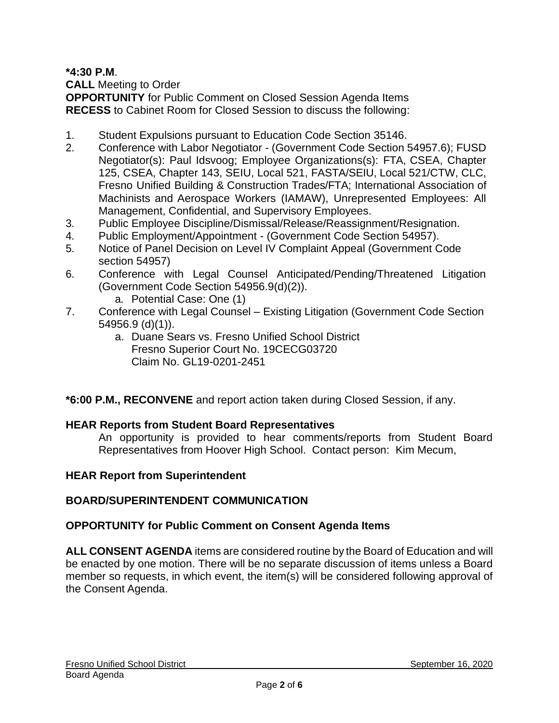**\*4:30 P.M**.

**CALL** Meeting to Order

**OPPORTUNITY** for Public Comment on Closed Session Agenda Items **RECESS** to Cabinet Room for Closed Session to discuss the following:

- 1. Student Expulsions pursuant to Education Code Section 35146.
- 2. Conference with Labor Negotiator (Government Code Section 54957.6); FUSD Negotiator(s): Paul Idsvoog; Employee Organizations(s): FTA, CSEA, Chapter 125, CSEA, Chapter 143, SEIU, Local 521, FASTA/SEIU, Local 521/CTW, CLC, Fresno Unified Building & Construction Trades/FTA; International Association of Machinists and Aerospace Workers (IAMAW), Unrepresented Employees: All Management, Confidential, and Supervisory Employees.
- 3. Public Employee Discipline/Dismissal/Release/Reassignment/Resignation.
- 4. Public Employment/Appointment (Government Code Section 54957).
- 5. Notice of Panel Decision on Level IV Complaint Appeal (Government Code section 54957)
- 6. Conference with Legal Counsel Anticipated/Pending/Threatened Litigation (Government Code Section 54956.9(d)(2)).
	- a. Potential Case: One (1)
- 7. Conference with Legal Counsel Existing Litigation (Government Code Section 54956.9 (d)(1)).
	- a. Duane Sears vs. Fresno Unified School District Fresno Superior Court No. 19CECG03720 Claim No. GL19-0201-2451

**\*6:00 P.M., RECONVENE** and report action taken during Closed Session, if any.

## **HEAR Reports from Student Board Representatives**

An opportunity is provided to hear comments/reports from Student Board Representatives from Hoover High School. Contact person: Kim Mecum,

## **HEAR Report from Superintendent**

## **BOARD/SUPERINTENDENT COMMUNICATION**

## **OPPORTUNITY for Public Comment on Consent Agenda Items**

**ALL CONSENT AGENDA** items are considered routine by the Board of Education and will be enacted by one motion. There will be no separate discussion of items unless a Board member so requests, in which event, the item(s) will be considered following approval of the Consent Agenda.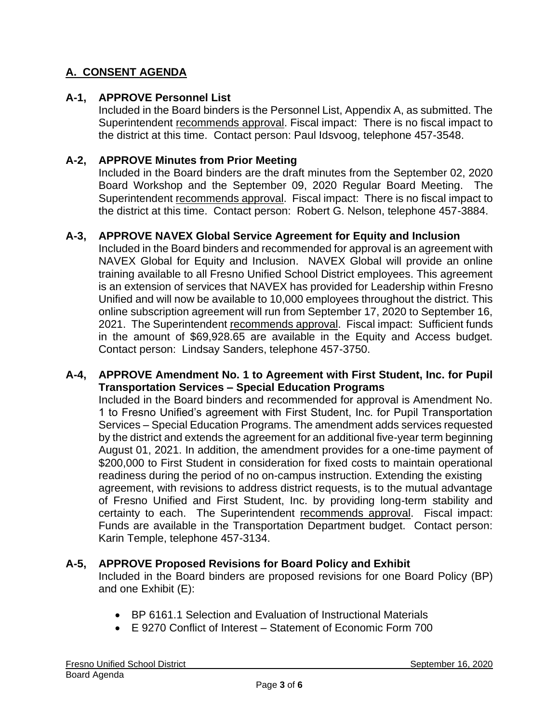# **A. CONSENT AGENDA**

## **A-1, APPROVE Personnel List**

Included in the Board binders is the Personnel List, Appendix A, as submitted. The Superintendent recommends approval. Fiscal impact: There is no fiscal impact to the district at this time. Contact person: Paul Idsvoog, telephone 457-3548.

### **A-2, APPROVE Minutes from Prior Meeting**

Included in the Board binders are the draft minutes from the September 02, 2020 Board Workshop and the September 09, 2020 Regular Board Meeting. The Superintendent recommends approval. Fiscal impact: There is no fiscal impact to the district at this time. Contact person: Robert G. Nelson, telephone 457-3884.

### **A-3, APPROVE NAVEX Global Service Agreement for Equity and Inclusion**

Included in the Board binders and recommended for approval is an agreement with NAVEX Global for Equity and Inclusion. NAVEX Global will provide an online training available to all Fresno Unified School District employees. This agreement is an extension of services that NAVEX has provided for Leadership within Fresno Unified and will now be available to 10,000 employees throughout the district. This online subscription agreement will run from September 17, 2020 to September 16, 2021. The Superintendent recommends approval. Fiscal impact: Sufficient funds in the amount of \$69,928.65 are available in the Equity and Access budget. Contact person: Lindsay Sanders, telephone 457-3750.

#### **A-4, APPROVE Amendment No. 1 to Agreement with First Student, Inc. for Pupil Transportation Services – Special Education Programs**

Included in the Board binders and recommended for approval is Amendment No. 1 to Fresno Unified's agreement with First Student, Inc. for Pupil Transportation Services – Special Education Programs. The amendment adds services requested by the district and extends the agreement for an additional five-year term beginning August 01, 2021. In addition, the amendment provides for a one-time payment of \$200,000 to First Student in consideration for fixed costs to maintain operational readiness during the period of no on-campus instruction. Extending the existing agreement, with revisions to address district requests, is to the mutual advantage of Fresno Unified and First Student, Inc. by providing long-term stability and certainty to each. The Superintendent recommends approval. Fiscal impact: Funds are available in the Transportation Department budget. Contact person: Karin Temple, telephone 457-3134.

#### **A-5, APPROVE Proposed Revisions for Board Policy and Exhibit**

Included in the Board binders are proposed revisions for one Board Policy (BP) and one Exhibit (E):

- BP 6161.1 Selection and Evaluation of Instructional Materials
- E 9270 Conflict of Interest Statement of Economic Form 700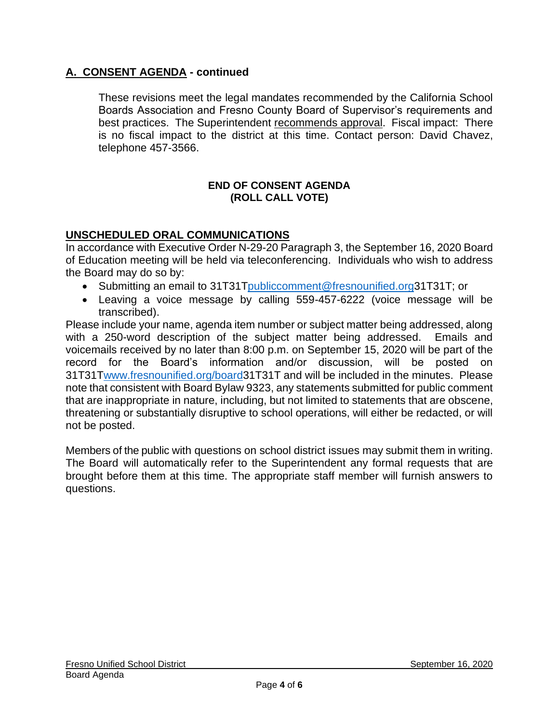## **A. CONSENT AGENDA - continued**

These revisions meet the legal mandates recommended by the California School Boards Association and Fresno County Board of Supervisor's requirements and best practices. The Superintendent recommends approval. Fiscal impact: There is no fiscal impact to the district at this time. Contact person: David Chavez, telephone 457-3566.

#### **END OF CONSENT AGENDA (ROLL CALL VOTE)**

## **UNSCHEDULED ORAL COMMUNICATIONS**

In accordance with Executive Order N-29-20 Paragraph 3, the September 16, 2020 Board of Education meeting will be held via teleconferencing. Individuals who wish to address the Board may do so by:

- Submitting an email to 31[T31Tpubliccomment@fresnounified.org3](mailto:publiccomment@fresnounified.org)1T31T; or
- Leaving a voice message by calling 559-457-6222 (voice message will be transcribed).

Please include your name, agenda item number or subject matter being addressed, along with a 250-word description of the subject matter being addressed. Emails and voicemails received by no later than 8:00 p.m. on September 15, 2020 will be part of the record for the Board's information and/or discussion, will be posted on 31[T31Twww.fresnounified.org/board3](http://www.fresnounified.org/board)1T31T and will be included in the minutes. Please note that consistent with Board Bylaw 9323, any statements submitted for public comment that are inappropriate in nature, including, but not limited to statements that are obscene, threatening or substantially disruptive to school operations, will either be redacted, or will not be posted.

Members of the public with questions on school district issues may submit them in writing. The Board will automatically refer to the Superintendent any formal requests that are brought before them at this time. The appropriate staff member will furnish answers to questions.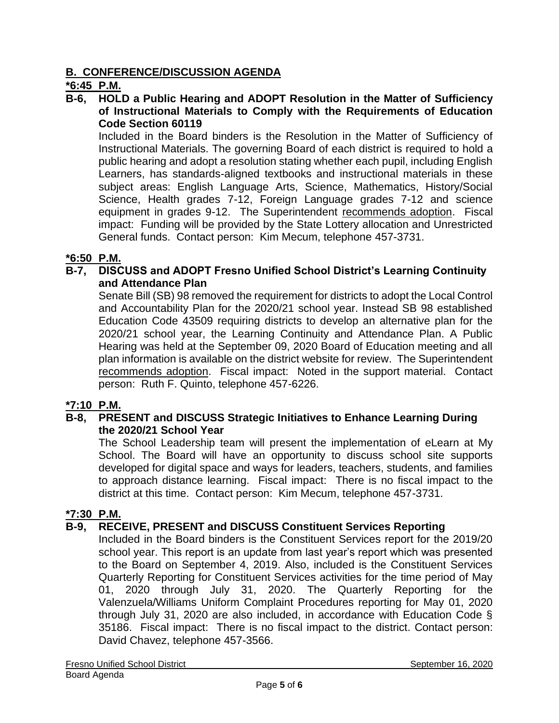## **B. CONFERENCE/DISCUSSION AGENDA**

## **\*6:45 P.M.**

**B-6, HOLD a Public Hearing and ADOPT Resolution in the Matter of Sufficiency of Instructional Materials to Comply with the Requirements of Education Code Section 60119**

Included in the Board binders is the Resolution in the Matter of Sufficiency of Instructional Materials. The governing Board of each district is required to hold a public hearing and adopt a resolution stating whether each pupil, including English Learners, has standards-aligned textbooks and instructional materials in these subject areas: English Language Arts, Science, Mathematics, History/Social Science, Health grades 7-12, Foreign Language grades 7-12 and science equipment in grades 9-12. The Superintendent recommends adoption. Fiscal impact: Funding will be provided by the State Lottery allocation and Unrestricted General funds. Contact person: Kim Mecum, telephone 457-3731.

### **\*6:50 P.M.**

### **B-7, DISCUSS and ADOPT Fresno Unified School District's Learning Continuity and Attendance Plan**

Senate Bill (SB) 98 removed the requirement for districts to adopt the Local Control and Accountability Plan for the 2020/21 school year. Instead SB 98 established Education Code 43509 requiring districts to develop an alternative plan for the 2020/21 school year, the Learning Continuity and Attendance Plan. A Public Hearing was held at the September 09, 2020 Board of Education meeting and all plan information is available on the district website for review. The Superintendent recommends adoption. Fiscal impact: Noted in the support material. Contact person: Ruth F. Quinto, telephone 457-6226.

#### **\*7:10 P.M.**

### **B-8, PRESENT and DISCUSS Strategic Initiatives to Enhance Learning During the 2020/21 School Year**

The School Leadership team will present the implementation of eLearn at My School. The Board will have an opportunity to discuss school site supports developed for digital space and ways for leaders, teachers, students, and families to approach distance learning. Fiscal impact: There is no fiscal impact to the district at this time. Contact person: Kim Mecum, telephone 457-3731.

#### **\*7:30 P.M.**

#### **B-9, RECEIVE, PRESENT and DISCUSS Constituent Services Reporting**

Included in the Board binders is the Constituent Services report for the 2019/20 school year. This report is an update from last year's report which was presented to the Board on September 4, 2019. Also, included is the Constituent Services Quarterly Reporting for Constituent Services activities for the time period of May 01, 2020 through July 31, 2020. The Quarterly Reporting for the Valenzuela/Williams Uniform Complaint Procedures reporting for May 01, 2020 through July 31, 2020 are also included, in accordance with Education Code § 35186. Fiscal impact: There is no fiscal impact to the district. Contact person: David Chavez, telephone 457-3566.